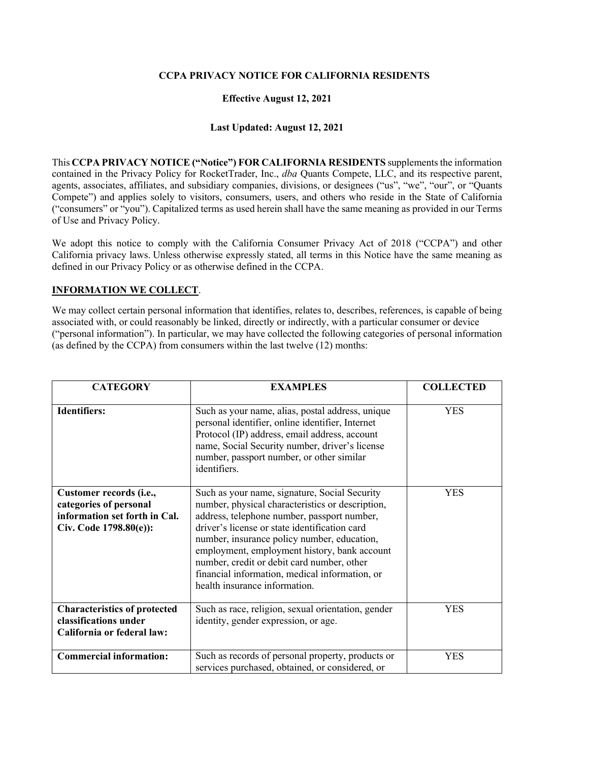### **CCPA PRIVACY NOTICE FOR CALIFORNIA RESIDENTS**

### **Effective August 12, 2021**

#### **Last Updated: August 12, 2021**

This **CCPA PRIVACY NOTICE ("Notice") FOR CALIFORNIA RESIDENTS** supplements the information contained in the Privacy Policy for RocketTrader, Inc., *dba* Quants Compete, LLC, and its respective parent, agents, associates, affiliates, and subsidiary companies, divisions, or designees ("us", "we", "our", or "Quants Compete") and applies solely to visitors, consumers, users, and others who reside in the State of California ("consumers" or "you"). Capitalized terms as used herein shall have the same meaning as provided in our Terms of Use and Privacy Policy.

We adopt this notice to comply with the California Consumer Privacy Act of 2018 ("CCPA") and other California privacy laws. Unless otherwise expressly stated, all terms in this Notice have the same meaning as defined in our Privacy Policy or as otherwise defined in the CCPA.

#### **INFORMATION WE COLLECT**.

We may collect certain personal information that identifies, relates to, describes, references, is capable of being associated with, or could reasonably be linked, directly or indirectly, with a particular consumer or device ("personal information"). In particular, we may have collected the following categories of personal information (as defined by the CCPA) from consumers within the last twelve (12) months:

| <b>CATEGORY</b>                                                                                              | <b>EXAMPLES</b>                                                                                                                                                                                                                                                                                                                                                                                                                   | <b>COLLECTED</b> |
|--------------------------------------------------------------------------------------------------------------|-----------------------------------------------------------------------------------------------------------------------------------------------------------------------------------------------------------------------------------------------------------------------------------------------------------------------------------------------------------------------------------------------------------------------------------|------------------|
| <b>Identifiers:</b>                                                                                          | Such as your name, alias, postal address, unique<br>personal identifier, online identifier, Internet<br>Protocol (IP) address, email address, account<br>name, Social Security number, driver's license<br>number, passport number, or other similar<br>identifiers.                                                                                                                                                              | <b>YES</b>       |
| Customer records (i.e.,<br>categories of personal<br>information set forth in Cal.<br>Civ. Code 1798.80(e)): | Such as your name, signature, Social Security<br>number, physical characteristics or description,<br>address, telephone number, passport number,<br>driver's license or state identification card<br>number, insurance policy number, education,<br>employment, employment history, bank account<br>number, credit or debit card number, other<br>financial information, medical information, or<br>health insurance information. | <b>YES</b>       |
| <b>Characteristics of protected</b><br>classifications under<br>California or federal law:                   | Such as race, religion, sexual orientation, gender<br>identity, gender expression, or age.                                                                                                                                                                                                                                                                                                                                        | <b>YES</b>       |
| <b>Commercial information:</b>                                                                               | Such as records of personal property, products or<br>services purchased, obtained, or considered, or                                                                                                                                                                                                                                                                                                                              | <b>YES</b>       |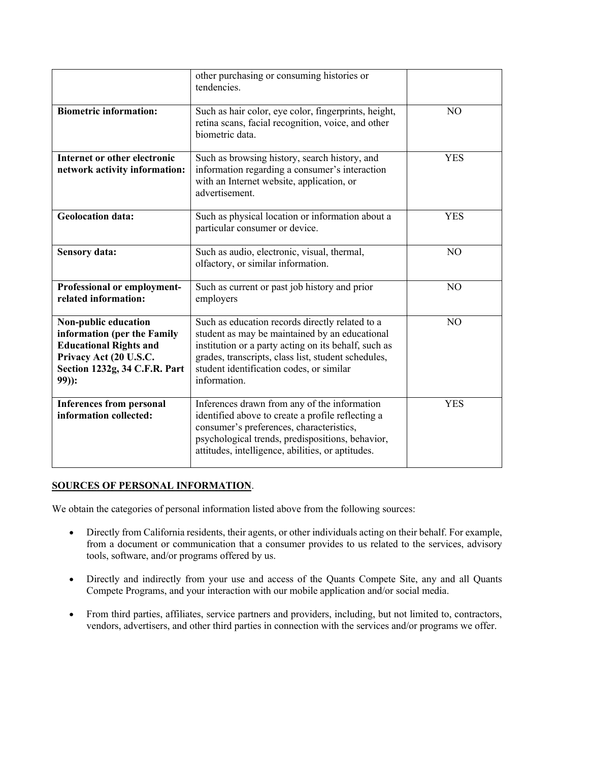|                                                                                                                                                            | other purchasing or consuming histories or<br>tendencies.                                                                                                                                                                                                                    |                |
|------------------------------------------------------------------------------------------------------------------------------------------------------------|------------------------------------------------------------------------------------------------------------------------------------------------------------------------------------------------------------------------------------------------------------------------------|----------------|
| <b>Biometric information:</b>                                                                                                                              | Such as hair color, eye color, fingerprints, height,<br>retina scans, facial recognition, voice, and other<br>biometric data.                                                                                                                                                | N <sub>O</sub> |
| Internet or other electronic<br>network activity information:                                                                                              | Such as browsing history, search history, and<br>information regarding a consumer's interaction<br>with an Internet website, application, or<br>advertisement.                                                                                                               | <b>YES</b>     |
| <b>Geolocation data:</b>                                                                                                                                   | Such as physical location or information about a<br>particular consumer or device.                                                                                                                                                                                           | <b>YES</b>     |
| <b>Sensory data:</b>                                                                                                                                       | Such as audio, electronic, visual, thermal,<br>olfactory, or similar information.                                                                                                                                                                                            | N <sub>O</sub> |
| Professional or employment-<br>related information:                                                                                                        | Such as current or past job history and prior<br>employers                                                                                                                                                                                                                   | N <sub>O</sub> |
| Non-public education<br>information (per the Family<br><b>Educational Rights and</b><br>Privacy Act (20 U.S.C.<br>Section 1232g, 34 C.F.R. Part<br>$99$ ): | Such as education records directly related to a<br>student as may be maintained by an educational<br>institution or a party acting on its behalf, such as<br>grades, transcripts, class list, student schedules,<br>student identification codes, or similar<br>information. | NO             |
| <b>Inferences from personal</b><br>information collected:                                                                                                  | Inferences drawn from any of the information<br>identified above to create a profile reflecting a<br>consumer's preferences, characteristics,<br>psychological trends, predispositions, behavior,<br>attitudes, intelligence, abilities, or aptitudes.                       | <b>YES</b>     |

# **SOURCES OF PERSONAL INFORMATION**.

We obtain the categories of personal information listed above from the following sources:

- Directly from California residents, their agents, or other individuals acting on their behalf. For example, from a document or communication that a consumer provides to us related to the services, advisory tools, software, and/or programs offered by us.
- Directly and indirectly from your use and access of the Quants Compete Site, any and all Quants Compete Programs, and your interaction with our mobile application and/or social media.
- From third parties, affiliates, service partners and providers, including, but not limited to, contractors, vendors, advertisers, and other third parties in connection with the services and/or programs we offer.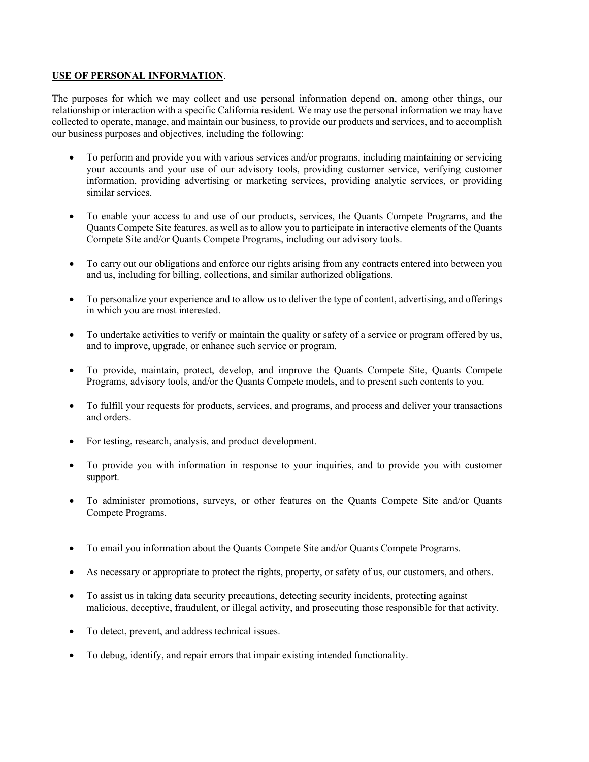#### **USE OF PERSONAL INFORMATION**.

The purposes for which we may collect and use personal information depend on, among other things, our relationship or interaction with a specific California resident. We may use the personal information we may have collected to operate, manage, and maintain our business, to provide our products and services, and to accomplish our business purposes and objectives, including the following:

- To perform and provide you with various services and/or programs, including maintaining or servicing your accounts and your use of our advisory tools, providing customer service, verifying customer information, providing advertising or marketing services, providing analytic services, or providing similar services.
- To enable your access to and use of our products, services, the Quants Compete Programs, and the Quants Compete Site features, as well as to allow you to participate in interactive elements of the Quants Compete Site and/or Quants Compete Programs, including our advisory tools.
- To carry out our obligations and enforce our rights arising from any contracts entered into between you and us, including for billing, collections, and similar authorized obligations.
- To personalize your experience and to allow us to deliver the type of content, advertising, and offerings in which you are most interested.
- To undertake activities to verify or maintain the quality or safety of a service or program offered by us, and to improve, upgrade, or enhance such service or program.
- To provide, maintain, protect, develop, and improve the Quants Compete Site, Quants Compete Programs, advisory tools, and/or the Quants Compete models, and to present such contents to you.
- To fulfill your requests for products, services, and programs, and process and deliver your transactions and orders.
- For testing, research, analysis, and product development.
- To provide you with information in response to your inquiries, and to provide you with customer support.
- To administer promotions, surveys, or other features on the Quants Compete Site and/or Quants Compete Programs.
- To email you information about the Quants Compete Site and/or Quants Compete Programs.
- As necessary or appropriate to protect the rights, property, or safety of us, our customers, and others.
- To assist us in taking data security precautions, detecting security incidents, protecting against malicious, deceptive, fraudulent, or illegal activity, and prosecuting those responsible for that activity.
- To detect, prevent, and address technical issues.
- To debug, identify, and repair errors that impair existing intended functionality.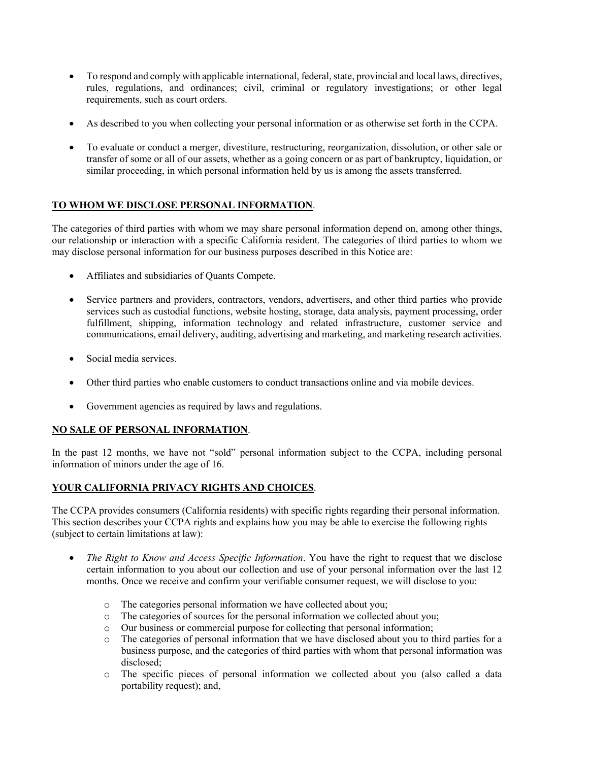- To respond and comply with applicable international, federal, state, provincial and local laws, directives, rules, regulations, and ordinances; civil, criminal or regulatory investigations; or other legal requirements, such as court orders.
- As described to you when collecting your personal information or as otherwise set forth in the CCPA.
- To evaluate or conduct a merger, divestiture, restructuring, reorganization, dissolution, or other sale or transfer of some or all of our assets, whether as a going concern or as part of bankruptcy, liquidation, or similar proceeding, in which personal information held by us is among the assets transferred.

# **TO WHOM WE DISCLOSE PERSONAL INFORMATION**.

The categories of third parties with whom we may share personal information depend on, among other things, our relationship or interaction with a specific California resident. The categories of third parties to whom we may disclose personal information for our business purposes described in this Notice are:

- Affiliates and subsidiaries of Quants Compete.
- Service partners and providers, contractors, vendors, advertisers, and other third parties who provide services such as custodial functions, website hosting, storage, data analysis, payment processing, order fulfillment, shipping, information technology and related infrastructure, customer service and communications, email delivery, auditing, advertising and marketing, and marketing research activities.
- Social media services.
- Other third parties who enable customers to conduct transactions online and via mobile devices.
- Government agencies as required by laws and regulations.

### **NO SALE OF PERSONAL INFORMATION**.

In the past 12 months, we have not "sold" personal information subject to the CCPA, including personal information of minors under the age of 16.

# **YOUR CALIFORNIA PRIVACY RIGHTS AND CHOICES**.

The CCPA provides consumers (California residents) with specific rights regarding their personal information. This section describes your CCPA rights and explains how you may be able to exercise the following rights (subject to certain limitations at law):

- *The Right to Know and Access Specific Information*. You have the right to request that we disclose certain information to you about our collection and use of your personal information over the last 12 months. Once we receive and confirm your verifiable consumer request, we will disclose to you:
	- o The categories personal information we have collected about you;
	- o The categories of sources for the personal information we collected about you;
	- o Our business or commercial purpose for collecting that personal information;
	- o The categories of personal information that we have disclosed about you to third parties for a business purpose, and the categories of third parties with whom that personal information was disclosed;
	- o The specific pieces of personal information we collected about you (also called a data portability request); and,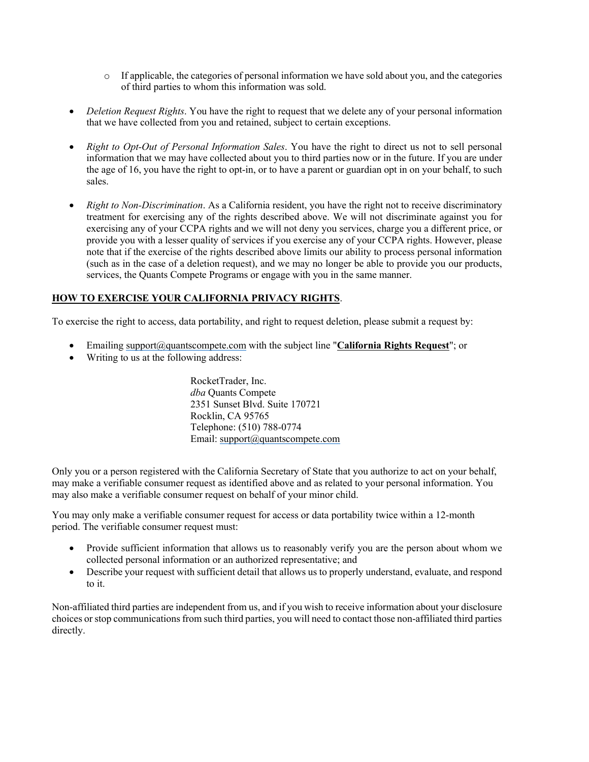- $\circ$  If applicable, the categories of personal information we have sold about you, and the categories of third parties to whom this information was sold.
- *Deletion Request Rights*. You have the right to request that we delete any of your personal information that we have collected from you and retained, subject to certain exceptions.
- *Right to Opt-Out of Personal Information Sales*. You have the right to direct us not to sell personal information that we may have collected about you to third parties now or in the future. If you are under the age of 16, you have the right to opt-in, or to have a parent or guardian opt in on your behalf, to such sales.
- *Right to Non-Discrimination*. As a California resident, you have the right not to receive discriminatory treatment for exercising any of the rights described above. We will not discriminate against you for exercising any of your CCPA rights and we will not deny you services, charge you a different price, or provide you with a lesser quality of services if you exercise any of your CCPA rights. However, please note that if the exercise of the rights described above limits our ability to process personal information (such as in the case of a deletion request), and we may no longer be able to provide you our products, services, the Quants Compete Programs or engage with you in the same manner.

# **HOW TO EXERCISE YOUR CALIFORNIA PRIVACY RIGHTS**.

To exercise the right to access, data portability, and right to request deletion, please submit a request by:

- Emailing [support@quantscompete.com](mailto:support@quantscompete.com) with the subject line "**California Rights Request**"; or
- Writing to us at the following address:

RocketTrader, Inc. *dba* Quants Compete 2351 Sunset Blvd. Suite 170721 Rocklin, CA 95765 Telephone: (510) 788-0774 Email[: support@quantscompete.com](mailto:support@quantscompete.com)

Only you or a person registered with the California Secretary of State that you authorize to act on your behalf, may make a verifiable consumer request as identified above and as related to your personal information. You may also make a verifiable consumer request on behalf of your minor child.

You may only make a verifiable consumer request for access or data portability twice within a 12-month period. The verifiable consumer request must:

- Provide sufficient information that allows us to reasonably verify you are the person about whom we collected personal information or an authorized representative; and
- Describe your request with sufficient detail that allows us to properly understand, evaluate, and respond to it.

Non-affiliated third parties are independent from us, and if you wish to receive information about your disclosure choices or stop communications from such third parties, you will need to contact those non-affiliated third parties directly.